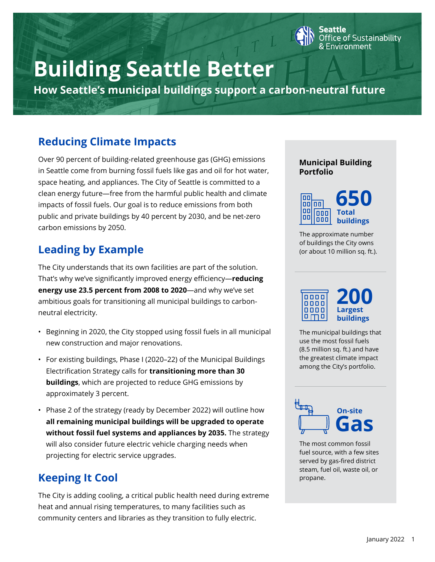

# **Building Seattle Better**

**How Seattle's municipal buildings support a carbon-neutral future**

### **Reducing Climate Impacts**

Over 90 percent of building-related greenhouse gas (GHG) emissions in Seattle come from burning fossil fuels like gas and oil for hot water, space heating, and appliances. The City of Seattle is committed to a clean energy future—free from the harmful public health and climate impacts of fossil fuels. Our goal is to reduce emissions from both public and private buildings by 40 percent by 2030, and be net-zero carbon emissions by 2050.

# **Leading by Example**

The City understands that its own facilities are part of the solution. That's why we've significantly improved energy efficiency—**reducing energy use 23.5 percent from 2008 to 2020**—and why we've set ambitious goals for transitioning all municipal buildings to carbonneutral electricity.

- Beginning in 2020, the City stopped using fossil fuels in all municipal new construction and major renovations.
- For existing buildings, Phase I (2020–22) of the Municipal Buildings Electrification Strategy calls for **transitioning more than 30 buildings**, which are projected to reduce GHG emissions by approximately 3 percent.
- Phase 2 of the strategy (ready by December 2022) will outline how **all remaining municipal buildings will be upgraded to operate without fossil fuel systems and appliances by 2035.** The strategy will also consider future electric vehicle charging needs when projecting for electric service upgrades.

# **Keeping It Cool**

The City is adding cooling, a critical public health need during extreme heat and annual rising temperatures, to many facilities such as community centers and libraries as they transition to fully electric.

### **Municipal Building Portfolio**



The approximate number of buildings the City owns (or about 10 million sq. ft.).



The municipal buildings that use the most fossil fuels (8.5 million sq. ft.) and have the greatest climate impact among the City's portfolio.



The most common fossil fuel source, with a few sites served by gas-fired district steam, fuel oil, waste oil, or propane.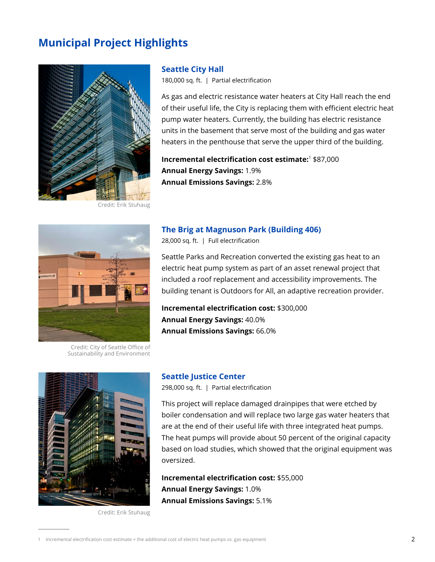### **Municipal Project Highlights**



Credit: Erik Stuhaug

#### **Seattle City Hall**

180,000 sq. ft. | Partial electrification

As gas and electric resistance water heaters at City Hall reach the end of their useful life, the City is replacing them with efficient electric heat pump water heaters. Currently, the building has electric resistance units in the basement that serve most of the building and gas water heaters in the penthouse that serve the upper third of the building.

**Incremental electrification cost estimate:**<sup>1</sup> \$87,000 **Annual Energy Savings:** 1.9% **Annual Emissions Savings:** 2.8%



Credit: City of Seattle Office of Sustainability and Environment

#### **The Brig at Magnuson Park (Building 406)**

28,000 sq. ft. | Full electrification

Seattle Parks and Recreation converted the existing gas heat to an electric heat pump system as part of an asset renewal project that included a roof replacement and accessibility improvements. The building tenant is Outdoors for All, an adaptive recreation provider.

**Incremental electrification cost:** \$300,000 **Annual Energy Savings:** 40.0% **Annual Emissions Savings:** 66.0%



#### **Seattle Justice Center**

298,000 sq. ft. | Partial electrification

This project will replace damaged drainpipes that were etched by boiler condensation and will replace two large gas water heaters that are at the end of their useful life with three integrated heat pumps. The heat pumps will provide about 50 percent of the original capacity based on load studies, which showed that the original equipment was oversized.

**Incremental electrification cost:** \$55,000 **Annual Energy Savings:** 1.0% **Annual Emissions Savings:** 5.1%

Credit: Erik Stuhaug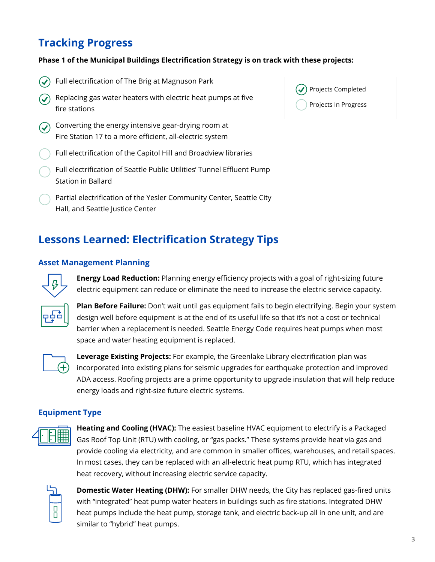### **Tracking Progress**

#### **Phase 1 of the Municipal Buildings Electrification Strategy is on track with these projects:**

- Full electrification of The Brig at Magnuson Park
- Replacing gas water heaters with electric heat pumps at five fire stations
- Converting the energy intensive gear-drying room at Fire Station 17 to a more efficient, all-electric system
- Full electrification of the Capitol Hill and Broadview libraries
- Full electrification of Seattle Public Utilities' Tunnel Effluent Pump Station in Ballard
- Partial electrification of the Yesler Community Center, Seattle City Hall, and Seattle Justice Center

### **Lessons Learned: Electrification Strategy Tips**

### **Asset Management Planning**



**Energy Load Reduction:** Planning energy efficiency projects with a goal of right-sizing future electric equipment can reduce or eliminate the need to increase the electric service capacity.



**Plan Before Failure:** Don't wait until gas equipment fails to begin electrifying. Begin your system design well before equipment is at the end of its useful life so that it's not a cost or technical barrier when a replacement is needed. Seattle Energy Code requires heat pumps when most space and water heating equipment is replaced.



**Leverage Existing Projects:** For example, the Greenlake Library electrification plan was incorporated into existing plans for seismic upgrades for earthquake protection and improved ADA access. Roofing projects are a prime opportunity to upgrade insulation that will help reduce energy loads and right-size future electric systems.

### **Equipment Type**



**Heating and Cooling (HVAC):** The easiest baseline HVAC equipment to electrify is a Packaged Gas Roof Top Unit (RTU) with cooling, or "gas packs." These systems provide heat via gas and provide cooling via electricity, and are common in smaller offices, warehouses, and retail spaces. In most cases, they can be replaced with an all-electric heat pump RTU, which has integrated heat recovery, without increasing electric service capacity.



**Domestic Water Heating (DHW):** For smaller DHW needs, the City has replaced gas-fired units with "integrated" heat pump water heaters in buildings such as fire stations. Integrated DHW heat pumps include the heat pump, storage tank, and electric back-up all in one unit, and are similar to "hybrid" heat pumps.

| $(\checkmark)$ Projects Completed |  |
|-----------------------------------|--|
| ( ) Projects In Progress          |  |